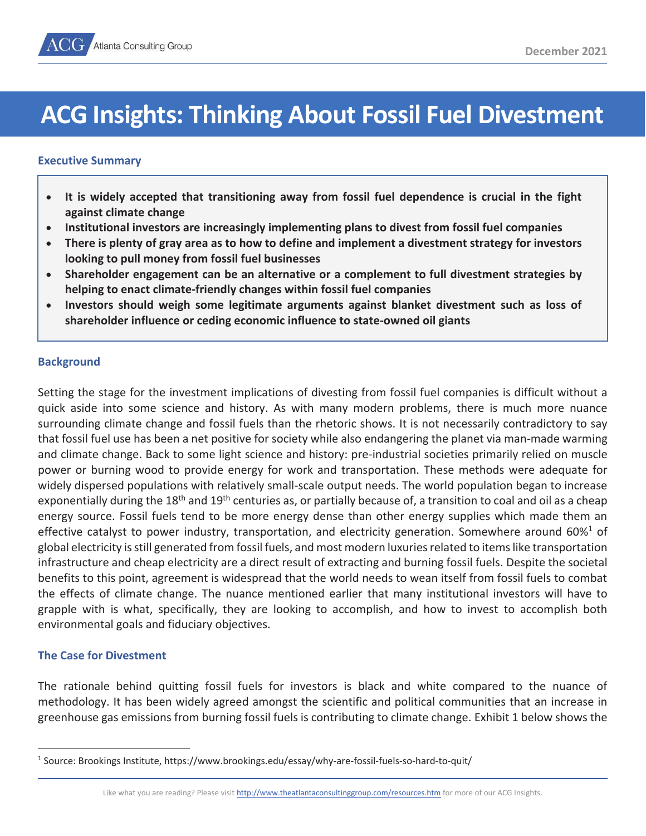# **ACG Insights: Thinking About Fossil Fuel Divestment**

# **Executive Summary**

- It is widely accepted that transitioning away from fossil fuel dependence is crucial in the fight **against climate change**
- Institutional investors are increasingly implementing plans to divest from fossil fuel companies
- **•** There is plenty of gray area as to how to define and implement a divestment strategy for investors **looking to pull money from fossil fuel businesses**
- x **Shareholder engagement can be an alternative or a complement to full divestment strategies by helping to enact climate-friendly changes within fossil fuel companies**
- x **Investors should weigh some legitimate arguments against blanket divestment such as loss of shareholder influence or ceding economic influence to state-owned oil giants**

# **Background**

Setting the stage for the investment implications of divesting from fossil fuel companies is difficult without a quick aside into some science and history. As with many modern problems, there is much more nuance surrounding climate change and fossil fuels than the rhetoric shows. It is not necessarily contradictory to say that fossil fuel use has been a net positive for society while also endangering the planet via man-made warming and climate change. Back to some light science and history: pre-industrial societies primarily relied on muscle power or burning wood to provide energy for work and transportation. These methods were adequate for widely dispersed populations with relatively small-scale output needs. The world population began to increase exponentially during the 18<sup>th</sup> and 19<sup>th</sup> centuries as, or partially because of, a transition to coal and oil as a cheap energy source. Fossil fuels tend to be more energy dense than other energy supplies which made them an effective catalyst to power industry, transportation, and electricity generation. Somewhere around 60% $1$  of global electricity is still generated from fossil fuels, and most modern luxuries related to items like transportation infrastructure and cheap electricity are a direct result of extracting and burning fossil fuels. Despite the societal benefits to this point, agreement is widespread that the world needs to wean itself from fossil fuels to combat the effects of climate change. The nuance mentioned earlier that many institutional investors will have to grapple with is what, specifically, they are looking to accomplish, and how to invest to accomplish both environmental goals and fiduciary objectives.

# **The Case for Divestment**

The rationale behind quitting fossil fuels for investors is black and white compared to the nuance of methodology. It has been widely agreed amongst the scientific and political communities that an increase in greenhouse gas emissions from burning fossil fuels is contributing to climate change. Exhibit 1 below shows the

Like what you are reading? Please visit http://www.theatlantaconsultinggroup.com/resources.htm for more of our ACG Insights.

<sup>1</sup> Source: Brookings Institute, https://www.brookings.edu/essay/why-are-fossil-fuels-so-hard-to-quit/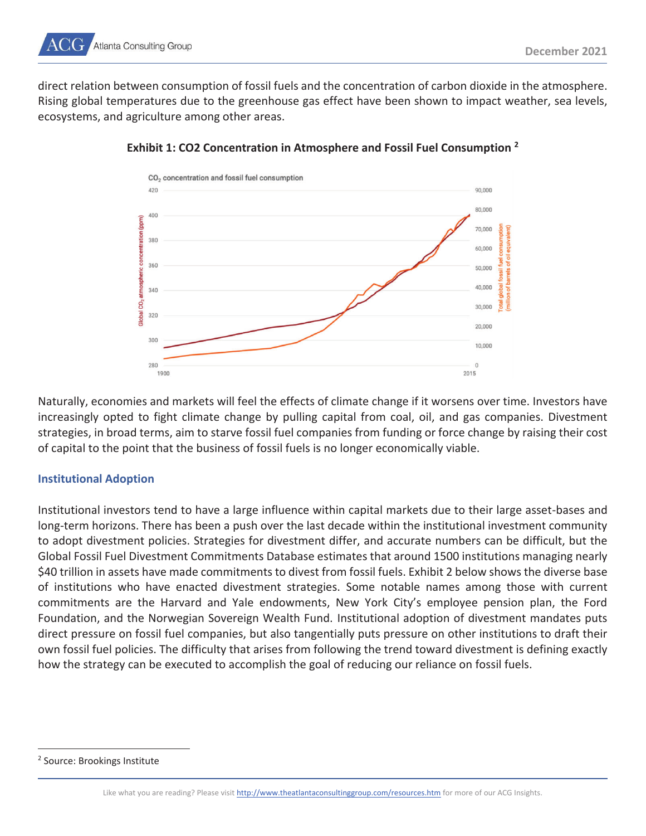

direct relation between consumption of fossil fuels and the concentration of carbon dioxide in the atmosphere. Rising global temperatures due to the greenhouse gas effect have been shown to impact weather, sea levels, ecosystems, and agriculture among other areas.



**Exhibit 1: CO2 Concentration in Atmosphere and Fossil Fuel Consumption 2**

Naturally, economies and markets will feel the effects of climate change if it worsens over time. Investors have increasingly opted to fight climate change by pulling capital from coal, oil, and gas companies. Divestment strategies, in broad terms, aim to starve fossil fuel companies from funding or force change by raising their cost of capital to the point that the business of fossil fuels is no longer economically viable.

# **Institutional Adoption**

Institutional investors tend to have a large influence within capital markets due to their large asset-bases and long-term horizons. There has been a push over the last decade within the institutional investment community to adopt divestment policies. Strategies for divestment differ, and accurate numbers can be difficult, but the Global Fossil Fuel Divestment Commitments Database estimates that around 1500 institutions managing nearly \$40 trillion in assets have made commitments to divest from fossil fuels. Exhibit 2 below shows the diverse base of institutions who have enacted divestment strategies. Some notable names among those with current commitments are the Harvard and Yale endowments, New York City's employee pension plan, the Ford Foundation, and the Norwegian Sovereign Wealth Fund. Institutional adoption of divestment mandates puts direct pressure on fossil fuel companies, but also tangentially puts pressure on other institutions to draft their own fossil fuel policies. The difficulty that arises from following the trend toward divestment is defining exactly how the strategy can be executed to accomplish the goal of reducing our reliance on fossil fuels.

<sup>2</sup> Source: Brookings Institute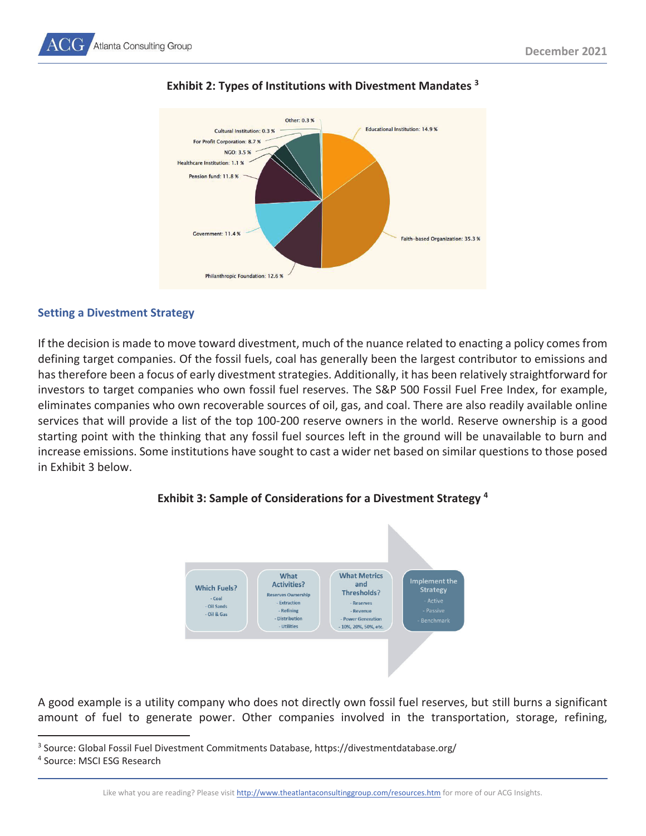



# **Exhibit 2: Types of Institutions with Divestment Mandates 3**

# **Setting a Divestment Strategy**

If the decision is made to move toward divestment, much of the nuance related to enacting a policy comes from defining target companies. Of the fossil fuels, coal has generally been the largest contributor to emissions and has therefore been a focus of early divestment strategies. Additionally, it has been relatively straightforward for investors to target companies who own fossil fuel reserves. The S&P 500 Fossil Fuel Free Index, for example, eliminates companies who own recoverable sources of oil, gas, and coal. There are also readily available online services that will provide a list of the top 100-200 reserve owners in the world. Reserve ownership is a good starting point with the thinking that any fossil fuel sources left in the ground will be unavailable to burn and increase emissions. Some institutions have sought to cast a wider net based on similar questions to those posed in Exhibit 3 below.



# **Exhibit 3: Sample of Considerations for a Divestment Strategy 4**

A good example is a utility company who does not directly own fossil fuel reserves, but still burns a significant amount of fuel to generate power. Other companies involved in the transportation, storage, refining,

<sup>3</sup> Source: Global Fossil Fuel Divestment Commitments Database, https://divestmentdatabase.org/<br><sup>4</sup> Source: MSCLESG Besearch

<sup>4</sup> Source: MSCI ESG Research

Like what you are reading? Please visit http://www.theatlantaconsultinggroup.com/resources.htm for more of our ACG Insights.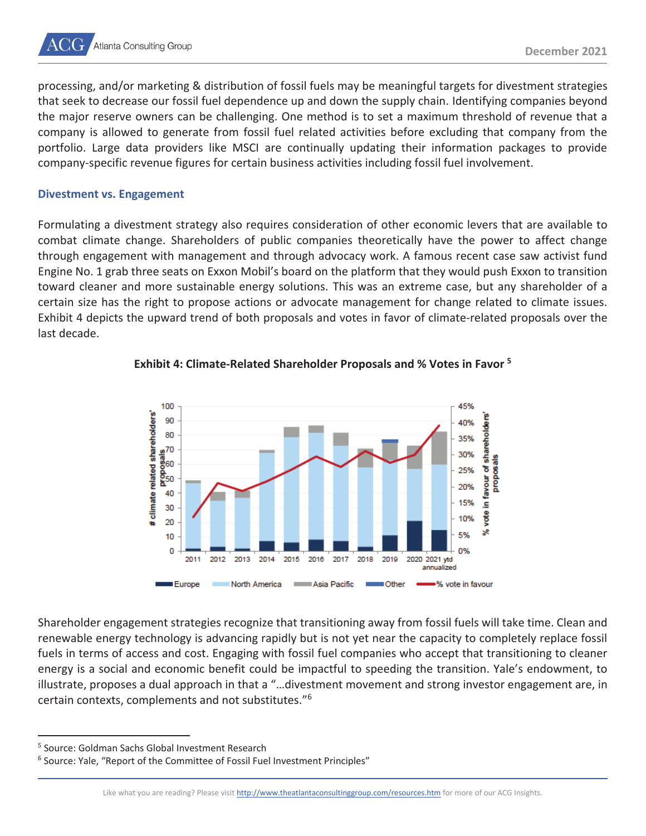

processing, and/or marketing & distribution of fossil fuels may be meaningful targets for divestment strategies that seek to decrease our fossil fuel dependence up and down the supply chain. Identifying companies beyond the major reserve owners can be challenging. One method is to set a maximum threshold of revenue that a company is allowed to generate from fossil fuel related activities before excluding that company from the portfolio. Large data providers like MSCI are continually updating their information packages to provide company-specific revenue figures for certain business activities including fossil fuel involvement.

#### **Divestment vs. Engagement**

Formulating a divestment strategy also requires consideration of other economic levers that are available to combat climate change. Shareholders of public companies theoretically have the power to affect change through engagement with management and through advocacy work. A famous recent case saw activist fund Engine No. 1 grab three seats on Exxon Mobil's board on the platform that they would push Exxon to transition toward cleaner and more sustainable energy solutions. This was an extreme case, but any shareholder of a certain size has the right to propose actions or advocate management for change related to climate issues. Exhibit 4 depicts the upward trend of both proposals and votes in favor of climate-related proposals over the last decade.



# **Exhibit 4: Climate-Related Shareholder Proposals and % Votes in Favor 5**

Shareholder engagement strategies recognize that transitioning away from fossil fuels will take time. Clean and renewable energy technology is advancing rapidly but is not yet near the capacity to completely replace fossil fuels in terms of access and cost. Engaging with fossil fuel companies who accept that transitioning to cleaner energy is a social and economic benefit could be impactful to speeding the transition. Yale's endowment, to illustrate, proposes a dual approach in that a "…divestment movement and strong investor engagement are, in certain contexts, complements and not substitutes."6

<sup>&</sup>lt;sup>5</sup> Source: Goldman Sachs Global Investment Research<br><sup>6</sup> Source: Vale "Benort of the Committee of Eossil Fue

<sup>&</sup>lt;sup>6</sup> Source: Yale, "Report of the Committee of Fossil Fuel Investment Principles"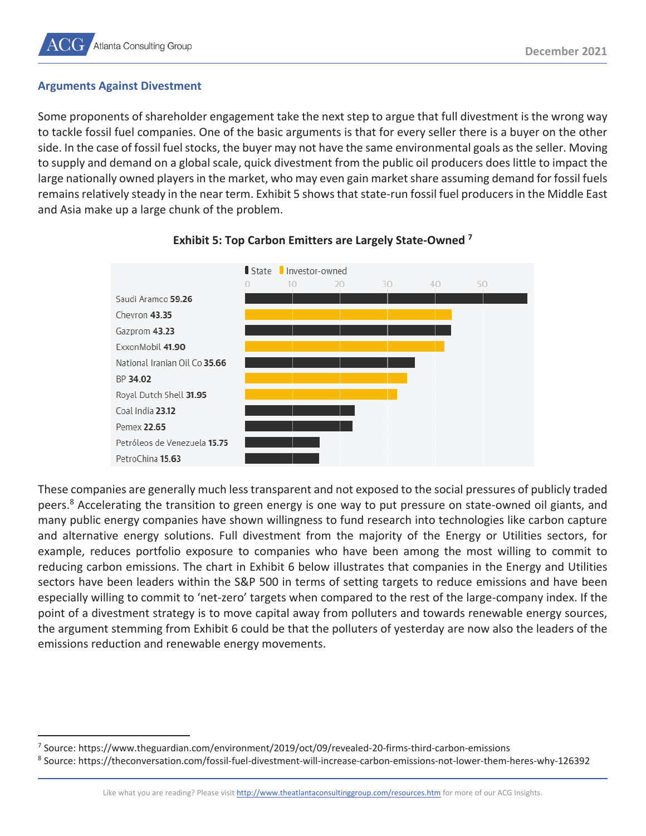# **Arguments Against Divestment**

Some proponents of shareholder engagement take the next step to argue that full divestment is the wrong way to tackle fossil fuel companies. One of the basic arguments is that for every seller there is a buyer on the other side. In the case of fossil fuel stocks, the buyer may not have the same environmental goals as the seller. Moving to supply and demand on a global scale, quick divestment from the public oil producers does little to impact the large nationally owned players in the market, who may even gain market share assuming demand for fossil fuels remains relatively steady in the near term. Exhibit 5 shows that state-run fossil fuel producers in the Middle East and Asia make up a large chunk of the problem.



# **Exhibit 5: Top Carbon Emitters are Largely State-Owned 7**

These companies are generally much less transparent and not exposed to the social pressures of publicly traded peers.<sup>8</sup> Accelerating the transition to green energy is one way to put pressure on state-owned oil giants, and many public energy companies have shown willingness to fund research into technologies like carbon capture and alternative energy solutions. Full divestment from the majority of the Energy or Utilities sectors, for example, reduces portfolio exposure to companies who have been among the most willing to commit to reducing carbon emissions. The chart in Exhibit 6 below illustrates that companies in the Energy and Utilities sectors have been leaders within the S&P 500 in terms of setting targets to reduce emissions and have been especially willing to commit to 'net-zero' targets when compared to the rest of the large-company index. If the point of a divestment strategy is to move capital away from polluters and towards renewable energy sources, the argument stemming from Exhibit 6 could be that the polluters of yesterday are now also the leaders of the emissions reduction and renewable energy movements.

<sup>&</sup>lt;sup>7</sup> Source: https://www.theguardian.com/environment/2019/oct/09/revealed-20-firms-third-carbon-emissions<br><sup>8</sup> Source: https://theconversation.com/fossil-fuel-divestment-will-increase-carbon-emissions-not-lower-them-l

Source: https://theconversation.com/fossil-fuel-divestment-will-increase-carbon-emissions-not-lower-them-heres-why-126392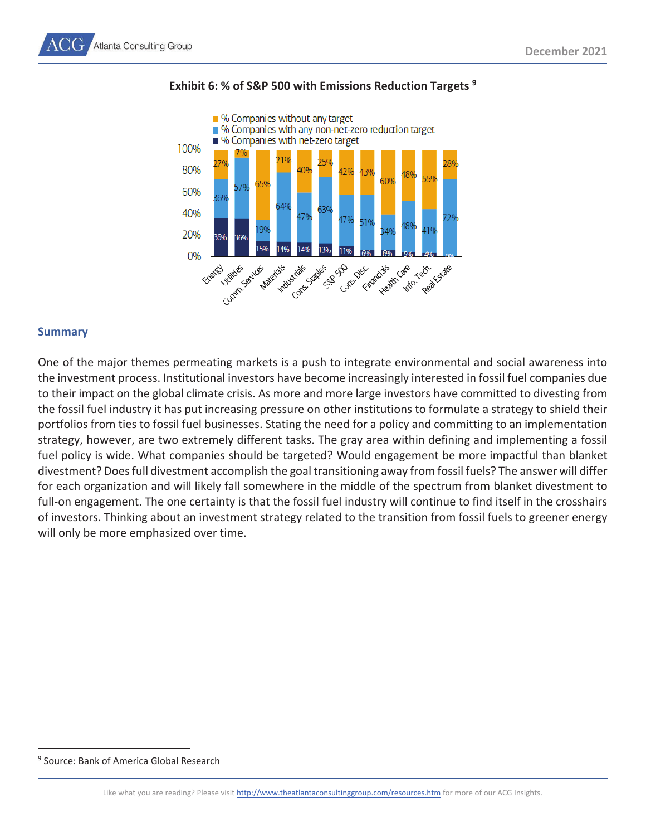

# **Exhibit 6: % of S&P 500 with Emissions Reduction Targets 9**

# **Summary**

One of the major themes permeating markets is a push to integrate environmental and social awareness into the investment process. Institutional investors have become increasingly interested in fossil fuel companies due to their impact on the global climate crisis. As more and more large investors have committed to divesting from the fossil fuel industry it has put increasing pressure on other institutions to formulate a strategy to shield their portfolios from ties to fossil fuel businesses. Stating the need for a policy and committing to an implementation strategy, however, are two extremely different tasks. The gray area within defining and implementing a fossil fuel policy is wide. What companies should be targeted? Would engagement be more impactful than blanket divestment? Does full divestment accomplish the goal transitioning away from fossil fuels? The answer will differ for each organization and will likely fall somewhere in the middle of the spectrum from blanket divestment to full-on engagement. The one certainty is that the fossil fuel industry will continue to find itself in the crosshairs of investors. Thinking about an investment strategy related to the transition from fossil fuels to greener energy will only be more emphasized over time.

<sup>9</sup> Source: Bank of America Global Research